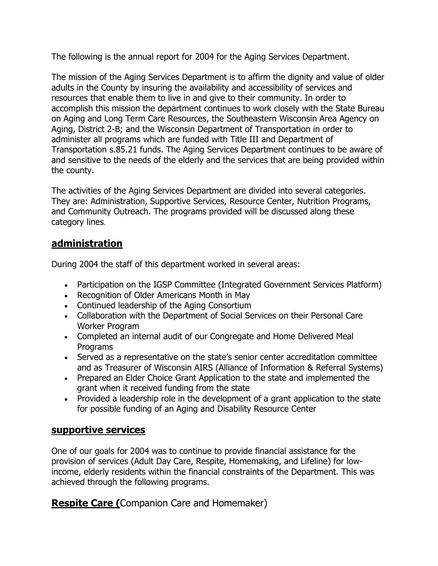The following is the annual report for 2004 for the Aging Services Department.

The mission of the Aging Services Department is to affirm the dignity and value of older adults in the County by insuring the availability and accessibility of services and resources that enable them to live in and give to their community. In order to accomplish this mission the department continues to work closely with the State Bureau on Aging and Long Term Care Resources, the Southeastern Wisconsin Area Agency on Aging, District 2-B; and the Wisconsin Department of Transportation in order to administer all programs which are funded with Title III and Department of Transportation s.85.21 funds. The Aging Services Department continues to be aware of and sensitive to the needs of the elderly and the services that are being provided within the county.

The activities of the Aging Services Department are divided into several categories. They are: Administration, Supportive Services, Resource Center, Nutrition Programs, and Community Outreach. The programs provided will be discussed along these category lines.

### **administration**

During 2004 the staff of this department worked in several areas:

- Participation on the IGSP Committee (Integrated Government Services Platform)
- Recognition of Older Americans Month in May
- Continued leadership of the Aging Consortium
- Collaboration with the Department of Social Services on their Personal Care Worker Program
- Completed an internal audit of our Congregate and Home Delivered Meal Programs
- Served as a representative on the state's senior center accreditation committee and as Treasurer of Wisconsin AIRS (Alliance of Information & Referral Systems)
- Prepared an Elder Choice Grant Application to the state and implemented the grant when it received funding from the state
- Provided a leadership role in the development of a grant application to the state for possible funding of an Aging and Disability Resource Center

### **supportive services**

One of our goals for 2004 was to continue to provide financial assistance for the provision of services (Adult Day Care, Respite, Homemaking, and Lifeline) for lowincome, elderly residents within the financial constraints of the Department. This was achieved through the following programs.

**Respite Care (**Companion Care and Homemaker)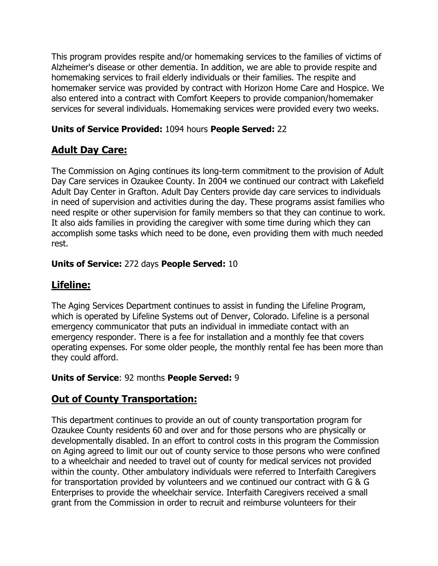This program provides respite and/or homemaking services to the families of victims of Alzheimer's disease or other dementia. In addition, we are able to provide respite and homemaking services to frail elderly individuals or their families. The respite and homemaker service was provided by contract with Horizon Home Care and Hospice. We also entered into a contract with Comfort Keepers to provide companion/homemaker services for several individuals. Homemaking services were provided every two weeks.

#### **Units of Service Provided:** 1094 hours **People Served:** 22

# **Adult Day Care:**

The Commission on Aging continues its long-term commitment to the provision of Adult Day Care services in Ozaukee County. In 2004 we continued our contract with Lakefield Adult Day Center in Grafton. Adult Day Centers provide day care services to individuals in need of supervision and activities during the day. These programs assist families who need respite or other supervision for family members so that they can continue to work. It also aids families in providing the caregiver with some time during which they can accomplish some tasks which need to be done, even providing them with much needed rest.

#### **Units of Service:** 272 days **People Served:** 10

# **Lifeline:**

The Aging Services Department continues to assist in funding the Lifeline Program, which is operated by Lifeline Systems out of Denver, Colorado. Lifeline is a personal emergency communicator that puts an individual in immediate contact with an emergency responder. There is a fee for installation and a monthly fee that covers operating expenses. For some older people, the monthly rental fee has been more than they could afford.

#### **Units of Service**: 92 months **People Served:** 9

# **Out of County Transportation:**

This department continues to provide an out of county transportation program for Ozaukee County residents 60 and over and for those persons who are physically or developmentally disabled. In an effort to control costs in this program the Commission on Aging agreed to limit our out of county service to those persons who were confined to a wheelchair and needed to travel out of county for medical services not provided within the county. Other ambulatory individuals were referred to Interfaith Caregivers for transportation provided by volunteers and we continued our contract with G & G Enterprises to provide the wheelchair service. Interfaith Caregivers received a small grant from the Commission in order to recruit and reimburse volunteers for their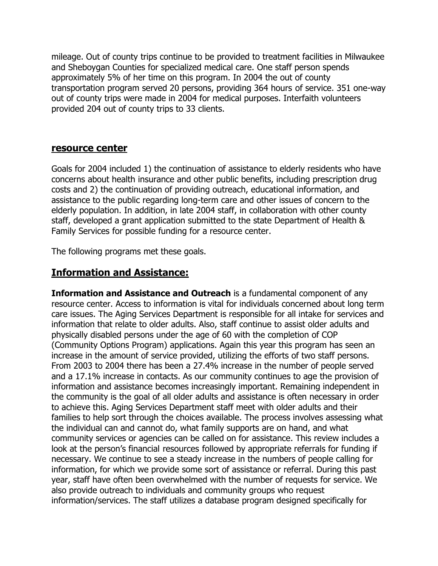mileage. Out of county trips continue to be provided to treatment facilities in Milwaukee and Sheboygan Counties for specialized medical care. One staff person spends approximately 5% of her time on this program. In 2004 the out of county transportation program served 20 persons, providing 364 hours of service. 351 one-way out of county trips were made in 2004 for medical purposes. Interfaith volunteers provided 204 out of county trips to 33 clients.

#### **resource center**

Goals for 2004 included 1) the continuation of assistance to elderly residents who have concerns about health insurance and other public benefits, including prescription drug costs and 2) the continuation of providing outreach, educational information, and assistance to the public regarding long-term care and other issues of concern to the elderly population. In addition, in late 2004 staff, in collaboration with other county staff, developed a grant application submitted to the state Department of Health & Family Services for possible funding for a resource center.

The following programs met these goals.

### **Information and Assistance:**

**Information and Assistance and Outreach** is a fundamental component of any resource center. Access to information is vital for individuals concerned about long term care issues. The Aging Services Department is responsible for all intake for services and information that relate to older adults. Also, staff continue to assist older adults and physically disabled persons under the age of 60 with the completion of COP (Community Options Program) applications. Again this year this program has seen an increase in the amount of service provided, utilizing the efforts of two staff persons. From 2003 to 2004 there has been a 27.4% increase in the number of people served and a 17.1% increase in contacts. As our community continues to age the provision of information and assistance becomes increasingly important. Remaining independent in the community is the goal of all older adults and assistance is often necessary in order to achieve this. Aging Services Department staff meet with older adults and their families to help sort through the choices available. The process involves assessing what the individual can and cannot do, what family supports are on hand, and what community services or agencies can be called on for assistance. This review includes a look at the person's financial resources followed by appropriate referrals for funding if necessary. We continue to see a steady increase in the numbers of people calling for information, for which we provide some sort of assistance or referral. During this past year, staff have often been overwhelmed with the number of requests for service. We also provide outreach to individuals and community groups who request information/services. The staff utilizes a database program designed specifically for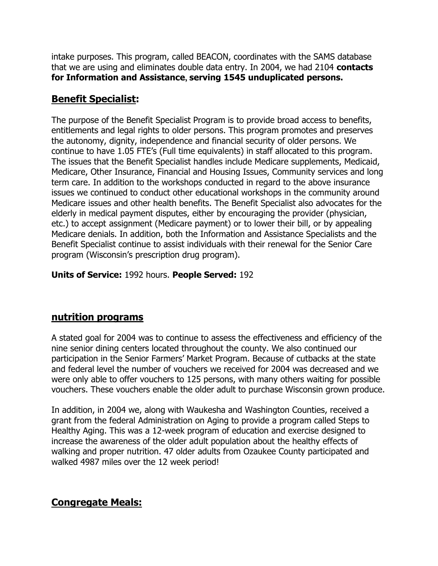intake purposes. This program, called BEACON, coordinates with the SAMS database that we are using and eliminates double data entry. In 2004, we had 2104 **contacts for Information and Assistance, serving 1545 unduplicated persons.**

# **Benefit Specialist:**

The purpose of the Benefit Specialist Program is to provide broad access to benefits, entitlements and legal rights to older persons. This program promotes and preserves the autonomy, dignity, independence and financial security of older persons. We continue to have 1.05 FTE's (Full time equivalents) in staff allocated to this program. The issues that the Benefit Specialist handles include Medicare supplements, Medicaid, Medicare, Other Insurance, Financial and Housing Issues, Community services and long term care. In addition to the workshops conducted in regard to the above insurance issues we continued to conduct other educational workshops in the community around Medicare issues and other health benefits. The Benefit Specialist also advocates for the elderly in medical payment disputes, either by encouraging the provider (physician, etc.) to accept assignment (Medicare payment) or to lower their bill, or by appealing Medicare denials. In addition, both the Information and Assistance Specialists and the Benefit Specialist continue to assist individuals with their renewal for the Senior Care program (Wisconsin's prescription drug program).

#### **Units of Service:** 1992 hours. **People Served:** 192

# **nutrition programs**

A stated goal for 2004 was to continue to assess the effectiveness and efficiency of the nine senior dining centers located throughout the county. We also continued our participation in the Senior Farmers' Market Program. Because of cutbacks at the state and federal level the number of vouchers we received for 2004 was decreased and we were only able to offer vouchers to 125 persons, with many others waiting for possible vouchers. These vouchers enable the older adult to purchase Wisconsin grown produce.

In addition, in 2004 we, along with Waukesha and Washington Counties, received a grant from the federal Administration on Aging to provide a program called Steps to Healthy Aging. This was a 12-week program of education and exercise designed to increase the awareness of the older adult population about the healthy effects of walking and proper nutrition. 47 older adults from Ozaukee County participated and walked 4987 miles over the 12 week period!

# **Congregate Meals:**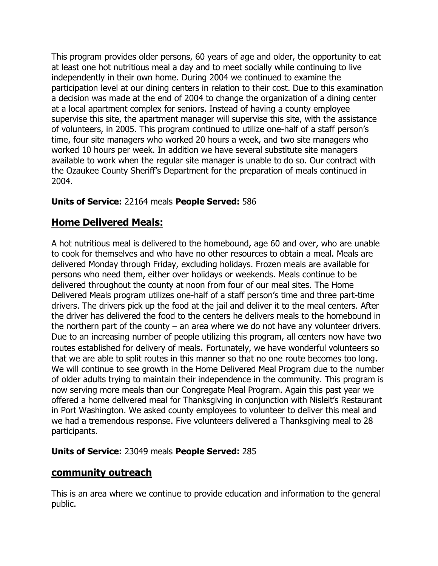This program provides older persons, 60 years of age and older, the opportunity to eat at least one hot nutritious meal a day and to meet socially while continuing to live independently in their own home. During 2004 we continued to examine the participation level at our dining centers in relation to their cost. Due to this examination a decision was made at the end of 2004 to change the organization of a dining center at a local apartment complex for seniors. Instead of having a county employee supervise this site, the apartment manager will supervise this site, with the assistance of volunteers, in 2005. This program continued to utilize one-half of a staff person's time, four site managers who worked 20 hours a week, and two site managers who worked 10 hours per week. In addition we have several substitute site managers available to work when the regular site manager is unable to do so. Our contract with the Ozaukee County Sheriff's Department for the preparation of meals continued in 2004.

#### **Units of Service:** 22164 meals **People Served:** 586

### **Home Delivered Meals:**

A hot nutritious meal is delivered to the homebound, age 60 and over, who are unable to cook for themselves and who have no other resources to obtain a meal. Meals are delivered Monday through Friday, excluding holidays. Frozen meals are available for persons who need them, either over holidays or weekends. Meals continue to be delivered throughout the county at noon from four of our meal sites. The Home Delivered Meals program utilizes one-half of a staff person's time and three part-time drivers. The drivers pick up the food at the jail and deliver it to the meal centers. After the driver has delivered the food to the centers he delivers meals to the homebound in the northern part of the county  $-$  an area where we do not have any volunteer drivers. Due to an increasing number of people utilizing this program, all centers now have two routes established for delivery of meals. Fortunately, we have wonderful volunteers so that we are able to split routes in this manner so that no one route becomes too long. We will continue to see growth in the Home Delivered Meal Program due to the number of older adults trying to maintain their independence in the community. This program is now serving more meals than our Congregate Meal Program. Again this past year we offered a home delivered meal for Thanksgiving in conjunction with Nisleit's Restaurant in Port Washington. We asked county employees to volunteer to deliver this meal and we had a tremendous response. Five volunteers delivered a Thanksgiving meal to 28 participants.

#### **Units of Service:** 23049 meals **People Served:** 285

#### **community outreach**

This is an area where we continue to provide education and information to the general public.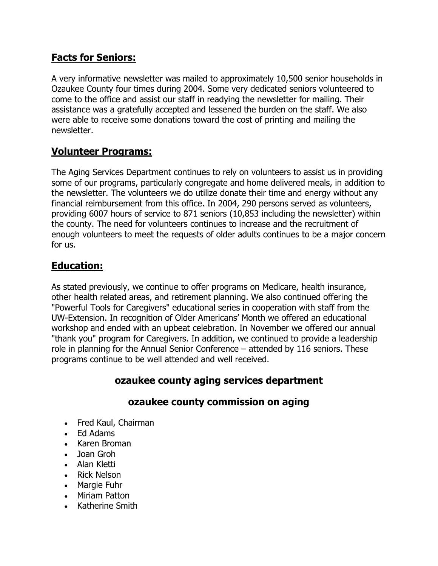# **Facts for Seniors:**

A very informative newsletter was mailed to approximately 10,500 senior households in Ozaukee County four times during 2004. Some very dedicated seniors volunteered to come to the office and assist our staff in readying the newsletter for mailing. Their assistance was a gratefully accepted and lessened the burden on the staff. We also were able to receive some donations toward the cost of printing and mailing the newsletter.

### **Volunteer Programs:**

The Aging Services Department continues to rely on volunteers to assist us in providing some of our programs, particularly congregate and home delivered meals, in addition to the newsletter. The volunteers we do utilize donate their time and energy without any financial reimbursement from this office. In 2004, 290 persons served as volunteers, providing 6007 hours of service to 871 seniors (10,853 including the newsletter) within the county. The need for volunteers continues to increase and the recruitment of enough volunteers to meet the requests of older adults continues to be a major concern for us.

# **Education:**

As stated previously, we continue to offer programs on Medicare, health insurance, other health related areas, and retirement planning. We also continued offering the "Powerful Tools for Caregivers" educational series in cooperation with staff from the UW-Extension. In recognition of Older Americans' Month we offered an educational workshop and ended with an upbeat celebration. In November we offered our annual "thank you" program for Caregivers. In addition, we continued to provide a leadership role in planning for the Annual Senior Conference – attended by 116 seniors. These programs continue to be well attended and well received.

# **ozaukee county aging services department**

### **ozaukee county commission on aging**

- Fred Kaul, Chairman
- Ed Adams
- Karen Broman
- Joan Groh
- Alan Kletti
- Rick Nelson
- Margie Fuhr
- Miriam Patton
- Katherine Smith